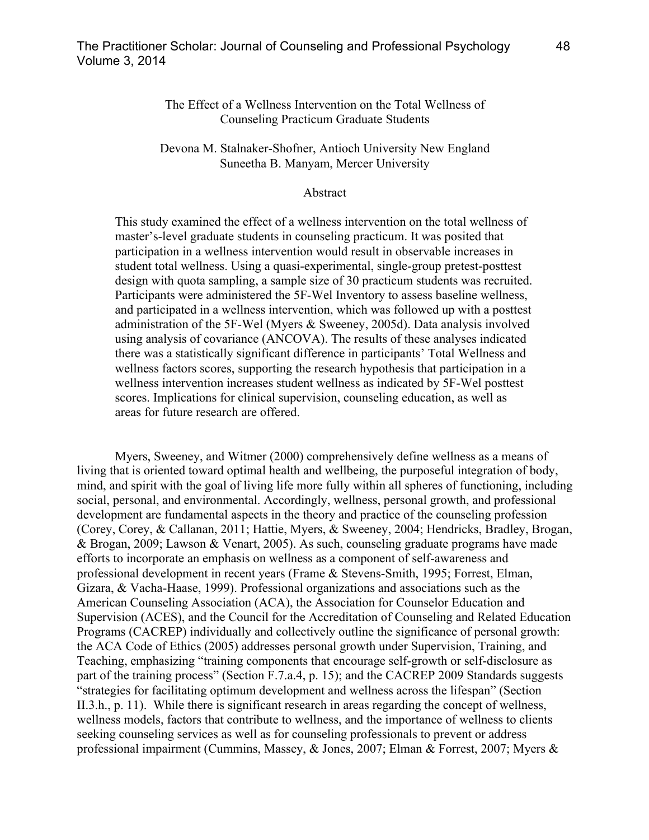## The Effect of a Wellness Intervention on the Total Wellness of Counseling Practicum Graduate Students

## Devona M. Stalnaker-Shofner, Antioch University New England Suneetha B. Manyam, Mercer University

### Abstract

This study examined the effect of a wellness intervention on the total wellness of master's-level graduate students in counseling practicum. It was posited that participation in a wellness intervention would result in observable increases in student total wellness. Using a quasi-experimental, single-group pretest-posttest design with quota sampling, a sample size of 30 practicum students was recruited. Participants were administered the 5F-Wel Inventory to assess baseline wellness, and participated in a wellness intervention, which was followed up with a posttest administration of the 5F-Wel (Myers & Sweeney, 2005d). Data analysis involved using analysis of covariance (ANCOVA). The results of these analyses indicated there was a statistically significant difference in participants' Total Wellness and wellness factors scores, supporting the research hypothesis that participation in a wellness intervention increases student wellness as indicated by 5F-Wel posttest scores. Implications for clinical supervision, counseling education, as well as areas for future research are offered.

Myers, Sweeney, and Witmer (2000) comprehensively define wellness as a means of living that is oriented toward optimal health and wellbeing, the purposeful integration of body, mind, and spirit with the goal of living life more fully within all spheres of functioning, including social, personal, and environmental. Accordingly, wellness, personal growth, and professional development are fundamental aspects in the theory and practice of the counseling profession (Corey, Corey, & Callanan, 2011; Hattie, Myers, & Sweeney, 2004; Hendricks, Bradley, Brogan, & Brogan, 2009; Lawson & Venart, 2005). As such, counseling graduate programs have made efforts to incorporate an emphasis on wellness as a component of self-awareness and professional development in recent years (Frame & Stevens-Smith, 1995; Forrest, Elman, Gizara, & Vacha-Haase, 1999). Professional organizations and associations such as the American Counseling Association (ACA), the Association for Counselor Education and Supervision (ACES), and the Council for the Accreditation of Counseling and Related Education Programs (CACREP) individually and collectively outline the significance of personal growth: the ACA Code of Ethics (2005) addresses personal growth under Supervision, Training, and Teaching, emphasizing "training components that encourage self-growth or self-disclosure as part of the training process" (Section F.7.a.4, p. 15); and the CACREP 2009 Standards suggests "strategies for facilitating optimum development and wellness across the lifespan" (Section II.3.h., p. 11). While there is significant research in areas regarding the concept of wellness, wellness models, factors that contribute to wellness, and the importance of wellness to clients seeking counseling services as well as for counseling professionals to prevent or address professional impairment (Cummins, Massey, & Jones, 2007; Elman & Forrest, 2007; Myers &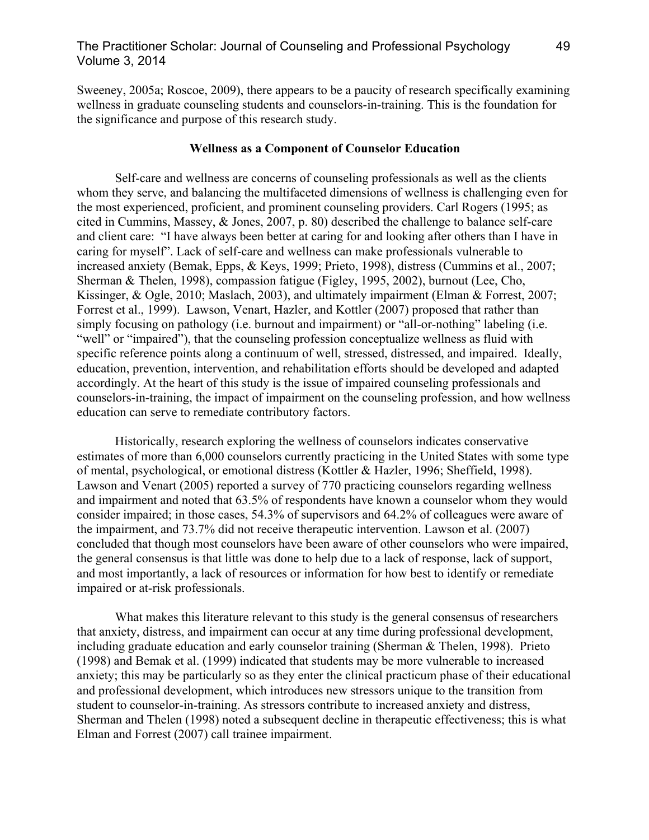# The Practitioner Scholar: Journal of Counseling and Professional Psychology 49 Volume 3, 2014

Sweeney, 2005a; Roscoe, 2009), there appears to be a paucity of research specifically examining wellness in graduate counseling students and counselors-in-training. This is the foundation for the significance and purpose of this research study.

#### **Wellness as a Component of Counselor Education**

Self-care and wellness are concerns of counseling professionals as well as the clients whom they serve, and balancing the multifaceted dimensions of wellness is challenging even for the most experienced, proficient, and prominent counseling providers. Carl Rogers (1995; as cited in Cummins, Massey, & Jones, 2007, p. 80) described the challenge to balance self-care and client care: "I have always been better at caring for and looking after others than I have in caring for myself". Lack of self-care and wellness can make professionals vulnerable to increased anxiety (Bemak, Epps, & Keys, 1999; Prieto, 1998), distress (Cummins et al., 2007; Sherman & Thelen, 1998), compassion fatigue (Figley, 1995, 2002), burnout (Lee, Cho, Kissinger, & Ogle, 2010; Maslach, 2003), and ultimately impairment (Elman & Forrest, 2007; Forrest et al., 1999). Lawson, Venart, Hazler, and Kottler (2007) proposed that rather than simply focusing on pathology (i.e. burnout and impairment) or "all-or-nothing" labeling (i.e. "well" or "impaired"), that the counseling profession conceptualize wellness as fluid with specific reference points along a continuum of well, stressed, distressed, and impaired. Ideally, education, prevention, intervention, and rehabilitation efforts should be developed and adapted accordingly. At the heart of this study is the issue of impaired counseling professionals and counselors-in-training, the impact of impairment on the counseling profession, and how wellness education can serve to remediate contributory factors.

Historically, research exploring the wellness of counselors indicates conservative estimates of more than 6,000 counselors currently practicing in the United States with some type of mental, psychological, or emotional distress (Kottler & Hazler, 1996; Sheffield, 1998). Lawson and Venart (2005) reported a survey of 770 practicing counselors regarding wellness and impairment and noted that 63.5% of respondents have known a counselor whom they would consider impaired; in those cases, 54.3% of supervisors and 64.2% of colleagues were aware of the impairment, and 73.7% did not receive therapeutic intervention. Lawson et al. (2007) concluded that though most counselors have been aware of other counselors who were impaired, the general consensus is that little was done to help due to a lack of response, lack of support, and most importantly, a lack of resources or information for how best to identify or remediate impaired or at-risk professionals.

What makes this literature relevant to this study is the general consensus of researchers that anxiety, distress, and impairment can occur at any time during professional development, including graduate education and early counselor training (Sherman & Thelen, 1998). Prieto (1998) and Bemak et al. (1999) indicated that students may be more vulnerable to increased anxiety; this may be particularly so as they enter the clinical practicum phase of their educational and professional development, which introduces new stressors unique to the transition from student to counselor-in-training. As stressors contribute to increased anxiety and distress, Sherman and Thelen (1998) noted a subsequent decline in therapeutic effectiveness; this is what Elman and Forrest (2007) call trainee impairment.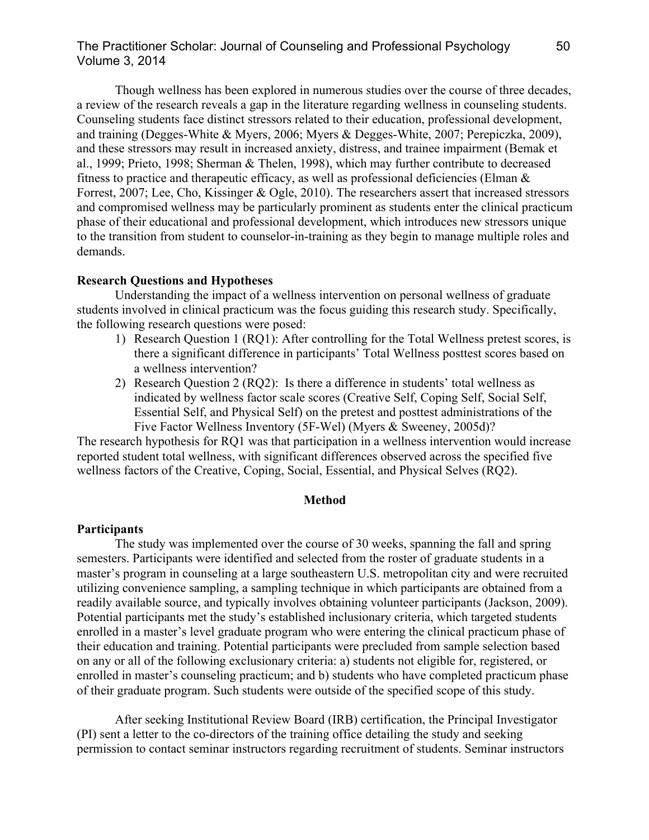# The Practitioner Scholar: Journal of Counseling and Professional Psychology 50 Volume 3, 2014

Though wellness has been explored in numerous studies over the course of three decades, a review of the research reveals a gap in the literature regarding wellness in counseling students. Counseling students face distinct stressors related to their education, professional development, and training (Degges-White & Myers, 2006; Myers & Degges-White, 2007; Perepiczka, 2009), and these stressors may result in increased anxiety, distress, and trainee impairment (Bemak et al., 1999; Prieto, 1998; Sherman & Thelen, 1998), which may further contribute to decreased fitness to practice and therapeutic efficacy, as well as professional deficiencies (Elman  $\&$ Forrest, 2007; Lee, Cho, Kissinger & Ogle, 2010). The researchers assert that increased stressors and compromised wellness may be particularly prominent as students enter the clinical practicum phase of their educational and professional development, which introduces new stressors unique to the transition from student to counselor-in-training as they begin to manage multiple roles and demands.

### **Research Questions and Hypotheses**

Understanding the impact of a wellness intervention on personal wellness of graduate students involved in clinical practicum was the focus guiding this research study. Specifically, the following research questions were posed:

- 1) Research Question 1 (RQ1): After controlling for the Total Wellness pretest scores, is there a significant difference in participants' Total Wellness posttest scores based on a wellness intervention?
- 2) Research Question 2 (RQ2): Is there a difference in students' total wellness as indicated by wellness factor scale scores (Creative Self, Coping Self, Social Self, Essential Self, and Physical Self) on the pretest and posttest administrations of the Five Factor Wellness Inventory (5F-Wel) (Myers & Sweeney, 2005d)?

The research hypothesis for RQ1 was that participation in a wellness intervention would increase reported student total wellness, with significant differences observed across the specified five wellness factors of the Creative, Coping, Social, Essential, and Physical Selves (RQ2).

#### **Method**

#### **Participants**

The study was implemented over the course of 30 weeks, spanning the fall and spring semesters. Participants were identified and selected from the roster of graduate students in a master's program in counseling at a large southeastern U.S. metropolitan city and were recruited utilizing convenience sampling, a sampling technique in which participants are obtained from a readily available source, and typically involves obtaining volunteer participants (Jackson, 2009). Potential participants met the study's established inclusionary criteria, which targeted students enrolled in a master's level graduate program who were entering the clinical practicum phase of their education and training. Potential participants were precluded from sample selection based on any or all of the following exclusionary criteria: a) students not eligible for, registered, or enrolled in master's counseling practicum; and b) students who have completed practicum phase of their graduate program. Such students were outside of the specified scope of this study.

After seeking Institutional Review Board (IRB) certification, the Principal Investigator (PI) sent a letter to the co-directors of the training office detailing the study and seeking permission to contact seminar instructors regarding recruitment of students. Seminar instructors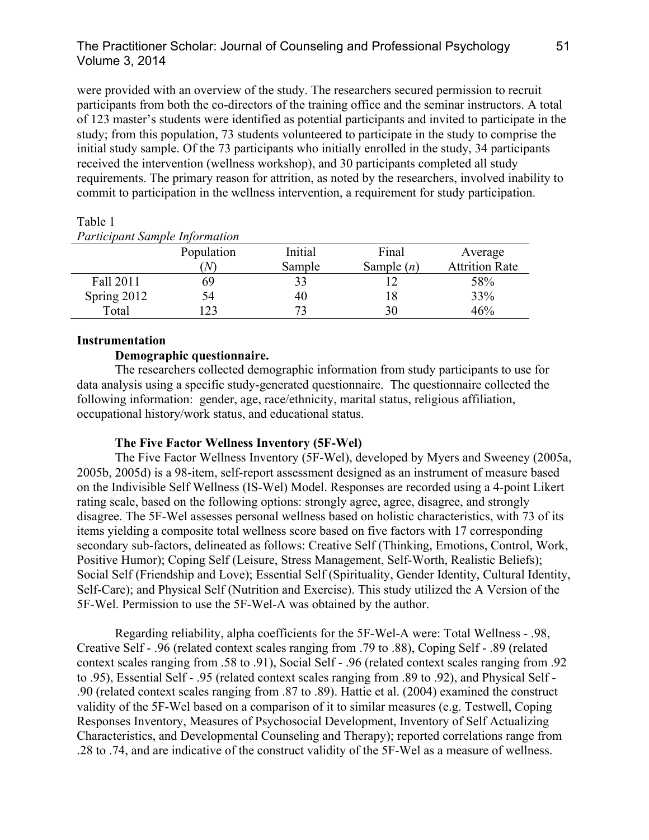# The Practitioner Scholar: Journal of Counseling and Professional Psychology 51 Volume 3, 2014

were provided with an overview of the study. The researchers secured permission to recruit participants from both the co-directors of the training office and the seminar instructors. A total of 123 master's students were identified as potential participants and invited to participate in the study; from this population, 73 students volunteered to participate in the study to comprise the initial study sample. Of the 73 participants who initially enrolled in the study, 34 participants received the intervention (wellness workshop), and 30 participants completed all study requirements. The primary reason for attrition, as noted by the researchers, involved inability to commit to participation in the wellness intervention, a requirement for study participation.

| <i>L</i> articipant sumple information |            |         |              |                       |  |  |
|----------------------------------------|------------|---------|--------------|-----------------------|--|--|
|                                        | Population | Initial | Final        | Average               |  |  |
|                                        | $N_{\rm}$  | Sample  | Sample $(n)$ | <b>Attrition Rate</b> |  |  |
| Fall 2011                              | 69         |         |              | 58%                   |  |  |
| Spring 2012                            | 54         | 40      | 18           | 33%                   |  |  |
| Total                                  | 23         |         | 30           | 46%                   |  |  |

#### Table 1 *Participant Sample Information*

## **Instrumentation**

## **Demographic questionnaire.**

The researchers collected demographic information from study participants to use for data analysis using a specific study-generated questionnaire. The questionnaire collected the following information: gender, age, race/ethnicity, marital status, religious affiliation, occupational history/work status, and educational status.

# **The Five Factor Wellness Inventory (5F-Wel)**

The Five Factor Wellness Inventory (5F-Wel), developed by Myers and Sweeney (2005a, 2005b, 2005d) is a 98-item, self-report assessment designed as an instrument of measure based on the Indivisible Self Wellness (IS-Wel) Model. Responses are recorded using a 4-point Likert rating scale, based on the following options: strongly agree, agree, disagree, and strongly disagree. The 5F-Wel assesses personal wellness based on holistic characteristics, with 73 of its items yielding a composite total wellness score based on five factors with 17 corresponding secondary sub-factors, delineated as follows: Creative Self (Thinking, Emotions, Control, Work, Positive Humor); Coping Self (Leisure, Stress Management, Self-Worth, Realistic Beliefs); Social Self (Friendship and Love); Essential Self (Spirituality, Gender Identity, Cultural Identity, Self-Care); and Physical Self (Nutrition and Exercise). This study utilized the A Version of the 5F-Wel. Permission to use the 5F-Wel-A was obtained by the author.

Regarding reliability, alpha coefficients for the 5F-Wel-A were: Total Wellness - .98, Creative Self - .96 (related context scales ranging from .79 to .88), Coping Self - .89 (related context scales ranging from .58 to .91), Social Self - .96 (related context scales ranging from .92 to .95), Essential Self - .95 (related context scales ranging from .89 to .92), and Physical Self - .90 (related context scales ranging from .87 to .89). Hattie et al. (2004) examined the construct validity of the 5F-Wel based on a comparison of it to similar measures (e.g. Testwell, Coping Responses Inventory, Measures of Psychosocial Development, Inventory of Self Actualizing Characteristics, and Developmental Counseling and Therapy); reported correlations range from .28 to .74, and are indicative of the construct validity of the 5F-Wel as a measure of wellness.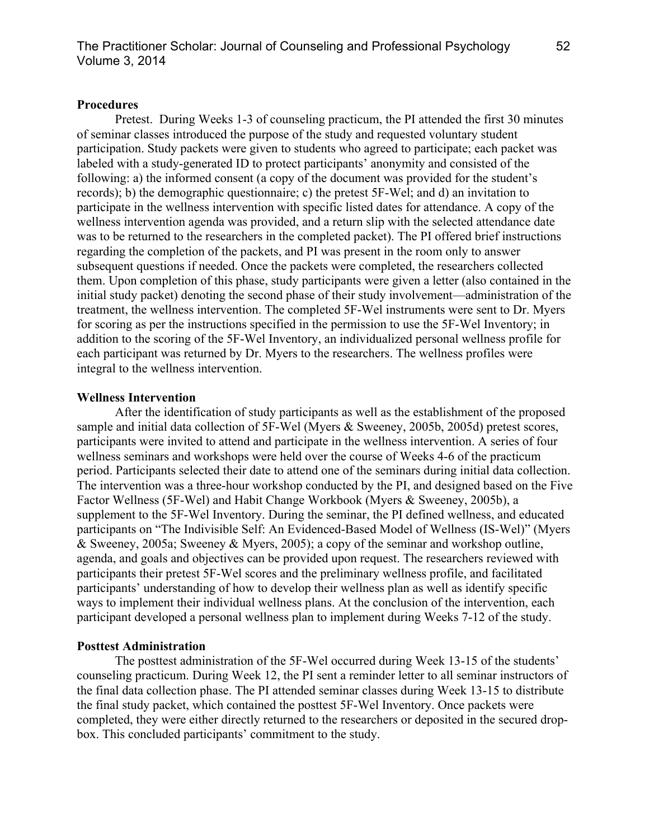## **Procedures**

Pretest. During Weeks 1-3 of counseling practicum, the PI attended the first 30 minutes of seminar classes introduced the purpose of the study and requested voluntary student participation. Study packets were given to students who agreed to participate; each packet was labeled with a study-generated ID to protect participants' anonymity and consisted of the following: a) the informed consent (a copy of the document was provided for the student's records); b) the demographic questionnaire; c) the pretest 5F-Wel; and d) an invitation to participate in the wellness intervention with specific listed dates for attendance. A copy of the wellness intervention agenda was provided, and a return slip with the selected attendance date was to be returned to the researchers in the completed packet). The PI offered brief instructions regarding the completion of the packets, and PI was present in the room only to answer subsequent questions if needed. Once the packets were completed, the researchers collected them. Upon completion of this phase, study participants were given a letter (also contained in the initial study packet) denoting the second phase of their study involvement—administration of the treatment, the wellness intervention. The completed 5F-Wel instruments were sent to Dr. Myers for scoring as per the instructions specified in the permission to use the 5F-Wel Inventory; in addition to the scoring of the 5F-Wel Inventory, an individualized personal wellness profile for each participant was returned by Dr. Myers to the researchers. The wellness profiles were integral to the wellness intervention.

## **Wellness Intervention**

After the identification of study participants as well as the establishment of the proposed sample and initial data collection of 5F-Wel (Myers & Sweeney, 2005b, 2005d) pretest scores, participants were invited to attend and participate in the wellness intervention. A series of four wellness seminars and workshops were held over the course of Weeks 4-6 of the practicum period. Participants selected their date to attend one of the seminars during initial data collection. The intervention was a three-hour workshop conducted by the PI, and designed based on the Five Factor Wellness (5F-Wel) and Habit Change Workbook (Myers & Sweeney, 2005b), a supplement to the 5F-Wel Inventory. During the seminar, the PI defined wellness, and educated participants on "The Indivisible Self: An Evidenced-Based Model of Wellness (IS-Wel)" (Myers & Sweeney, 2005a; Sweeney & Myers, 2005); a copy of the seminar and workshop outline, agenda, and goals and objectives can be provided upon request. The researchers reviewed with participants their pretest 5F-Wel scores and the preliminary wellness profile, and facilitated participants' understanding of how to develop their wellness plan as well as identify specific ways to implement their individual wellness plans. At the conclusion of the intervention, each participant developed a personal wellness plan to implement during Weeks 7-12 of the study.

### **Posttest Administration**

The posttest administration of the 5F-Wel occurred during Week 13-15 of the students' counseling practicum. During Week 12, the PI sent a reminder letter to all seminar instructors of the final data collection phase. The PI attended seminar classes during Week 13-15 to distribute the final study packet, which contained the posttest 5F-Wel Inventory. Once packets were completed, they were either directly returned to the researchers or deposited in the secured dropbox. This concluded participants' commitment to the study.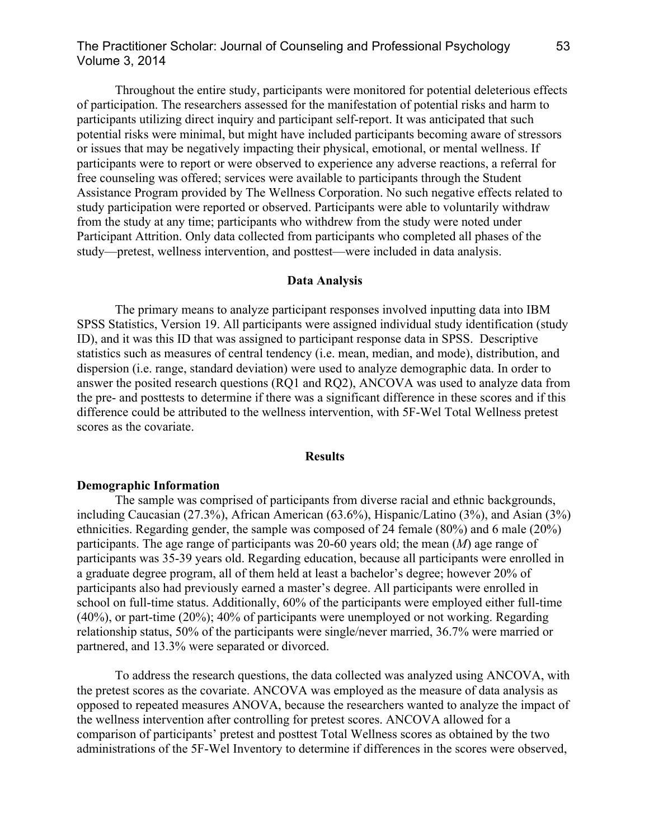# The Practitioner Scholar: Journal of Counseling and Professional Psychology 53 Volume 3, 2014

Throughout the entire study, participants were monitored for potential deleterious effects of participation. The researchers assessed for the manifestation of potential risks and harm to participants utilizing direct inquiry and participant self-report. It was anticipated that such potential risks were minimal, but might have included participants becoming aware of stressors or issues that may be negatively impacting their physical, emotional, or mental wellness. If participants were to report or were observed to experience any adverse reactions, a referral for free counseling was offered; services were available to participants through the Student Assistance Program provided by The Wellness Corporation. No such negative effects related to study participation were reported or observed. Participants were able to voluntarily withdraw from the study at any time; participants who withdrew from the study were noted under Participant Attrition. Only data collected from participants who completed all phases of the study—pretest, wellness intervention, and posttest—were included in data analysis.

#### **Data Analysis**

The primary means to analyze participant responses involved inputting data into IBM SPSS Statistics, Version 19. All participants were assigned individual study identification (study ID), and it was this ID that was assigned to participant response data in SPSS. Descriptive statistics such as measures of central tendency (i.e. mean, median, and mode), distribution, and dispersion (i.e. range, standard deviation) were used to analyze demographic data. In order to answer the posited research questions (RQ1 and RQ2), ANCOVA was used to analyze data from the pre- and posttests to determine if there was a significant difference in these scores and if this difference could be attributed to the wellness intervention, with 5F-Wel Total Wellness pretest scores as the covariate.

#### **Results**

#### **Demographic Information**

The sample was comprised of participants from diverse racial and ethnic backgrounds, including Caucasian (27.3%), African American (63.6%), Hispanic/Latino (3%), and Asian (3%) ethnicities. Regarding gender, the sample was composed of 24 female (80%) and 6 male (20%) participants. The age range of participants was 20-60 years old; the mean (*M*) age range of participants was 35-39 years old. Regarding education, because all participants were enrolled in a graduate degree program, all of them held at least a bachelor's degree; however 20% of participants also had previously earned a master's degree. All participants were enrolled in school on full-time status. Additionally, 60% of the participants were employed either full-time (40%), or part-time (20%); 40% of participants were unemployed or not working. Regarding relationship status, 50% of the participants were single/never married, 36.7% were married or partnered, and 13.3% were separated or divorced.

To address the research questions, the data collected was analyzed using ANCOVA, with the pretest scores as the covariate. ANCOVA was employed as the measure of data analysis as opposed to repeated measures ANOVA, because the researchers wanted to analyze the impact of the wellness intervention after controlling for pretest scores. ANCOVA allowed for a comparison of participants' pretest and posttest Total Wellness scores as obtained by the two administrations of the 5F-Wel Inventory to determine if differences in the scores were observed,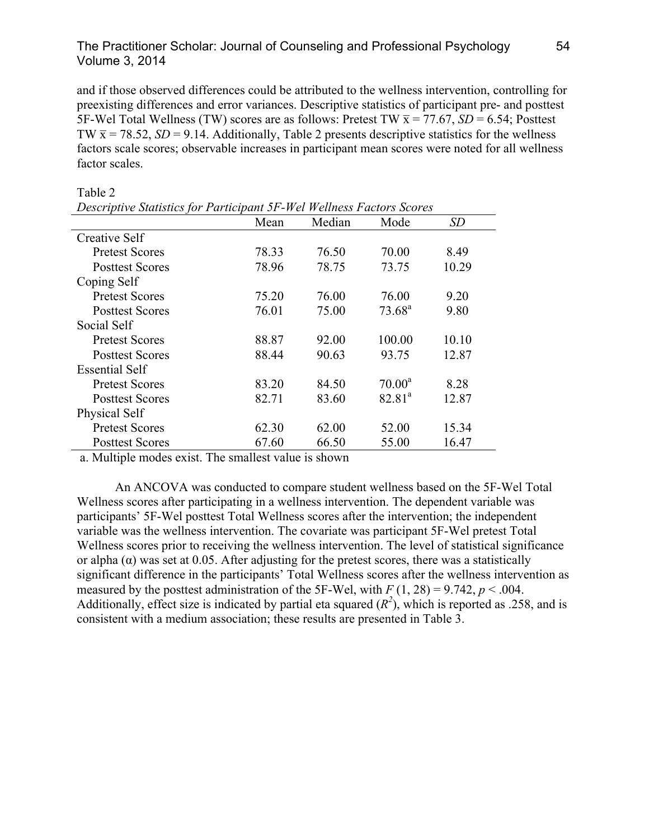# The Practitioner Scholar: Journal of Counseling and Professional Psychology 54 Volume 3, 2014

and if those observed differences could be attributed to the wellness intervention, controlling for preexisting differences and error variances. Descriptive statistics of participant pre- and posttest 5F-Wel Total Wellness (TW) scores are as follows: Pretest TW  $\bar{x}$  = 77.67, *SD* = 6.54; Posttest TW  $\bar{x}$  = 78.52, *SD* = 9.14. Additionally, Table 2 presents descriptive statistics for the wellness factors scale scores; observable increases in participant mean scores were noted for all wellness factor scales.

| Descriptive Statistics for Participant 5F-Wel Wellness Factors Scores |       |        |                    |       |  |
|-----------------------------------------------------------------------|-------|--------|--------------------|-------|--|
|                                                                       | Mean  | Median | Mode               | SD    |  |
| Creative Self                                                         |       |        |                    |       |  |
| <b>Pretest Scores</b>                                                 | 78.33 | 76.50  | 70.00              | 8.49  |  |
| <b>Posttest Scores</b>                                                | 78.96 | 78.75  | 73.75              | 10.29 |  |
| Coping Self                                                           |       |        |                    |       |  |
| <b>Pretest Scores</b>                                                 | 75.20 | 76.00  | 76.00              | 9.20  |  |
| <b>Posttest Scores</b>                                                | 76.01 | 75.00  | $73.68^{\rm a}$    | 9.80  |  |
| Social Self                                                           |       |        |                    |       |  |
| <b>Pretest Scores</b>                                                 | 88.87 | 92.00  | 100.00             | 10.10 |  |
| <b>Posttest Scores</b>                                                | 88.44 | 90.63  | 93.75              | 12.87 |  |
| <b>Essential Self</b>                                                 |       |        |                    |       |  |
| <b>Pretest Scores</b>                                                 | 83 20 | 84.50  | $70.00^a$          | 8.28  |  |
| <b>Posttest Scores</b>                                                | 82.71 | 83.60  | 82.81 <sup>a</sup> | 12.87 |  |
| Physical Self                                                         |       |        |                    |       |  |
| <b>Pretest Scores</b>                                                 | 62.30 | 62.00  | 52.00              | 15.34 |  |
| <b>Posttest Scores</b>                                                | 67.60 | 66.50  | 55.00              | 16.47 |  |

Table 2

a. Multiple modes exist. The smallest value is shown

An ANCOVA was conducted to compare student wellness based on the 5F-Wel Total Wellness scores after participating in a wellness intervention. The dependent variable was participants' 5F-Wel posttest Total Wellness scores after the intervention; the independent variable was the wellness intervention. The covariate was participant 5F-Wel pretest Total Wellness scores prior to receiving the wellness intervention. The level of statistical significance or alpha  $(\alpha)$  was set at 0.05. After adjusting for the pretest scores, there was a statistically significant difference in the participants' Total Wellness scores after the wellness intervention as measured by the posttest administration of the 5F-Wel, with  $F(1, 28) = 9.742$ ,  $p < .004$ . Additionally, effect size is indicated by partial eta squared  $(R^2)$ , which is reported as .258, and is consistent with a medium association; these results are presented in Table 3.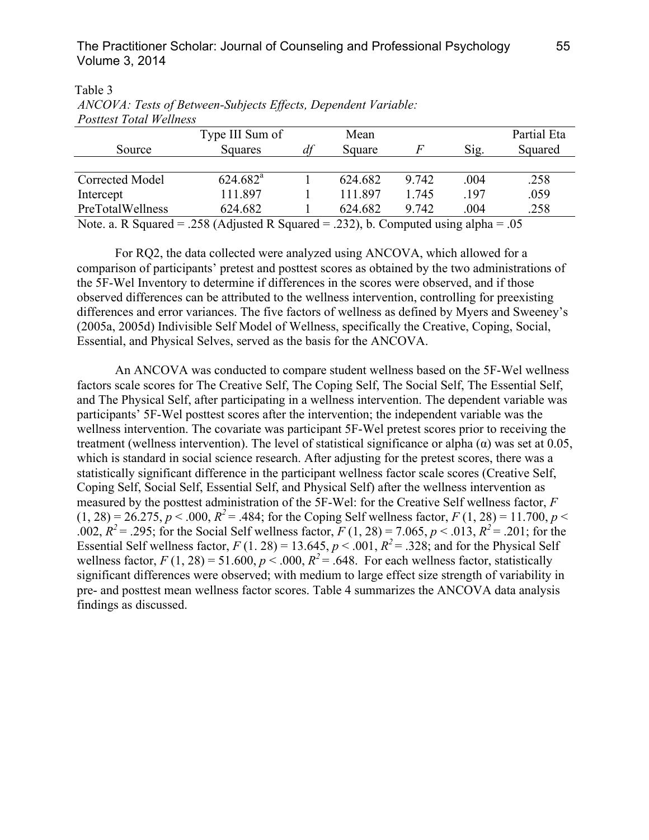| T OSHEST TOHIT M'EHIRSS                                                              |                      |  |         |       |      |             |
|--------------------------------------------------------------------------------------|----------------------|--|---------|-------|------|-------------|
|                                                                                      | Type III Sum of      |  | Mean    |       |      | Partial Eta |
| Source                                                                               | Squares              |  | Square  | F     | Sig. | Squared     |
|                                                                                      |                      |  |         |       |      |             |
| Corrected Model                                                                      | $624.682^{\text{a}}$ |  | 624.682 | 9.742 | .004 | .258        |
| Intercept                                                                            | 111.897              |  | 111 897 | 1.745 | .197 | .059        |
| PreTotalWellness                                                                     | 624.682              |  | 624.682 | 9.742 | .004 | .258        |
| Note. a. R Squared = .258 (Adjusted R Squared = .232), b. Computed using alpha = .05 |                      |  |         |       |      |             |

Table 3 *ANCOVA: Tests of Between-Subjects Effects, Dependent Variable: Posttest Total Wellness*

For RQ2, the data collected were analyzed using ANCOVA, which allowed for a comparison of participants' pretest and posttest scores as obtained by the two administrations of the 5F-Wel Inventory to determine if differences in the scores were observed, and if those observed differences can be attributed to the wellness intervention, controlling for preexisting differences and error variances. The five factors of wellness as defined by Myers and Sweeney's (2005a, 2005d) Indivisible Self Model of Wellness, specifically the Creative, Coping, Social, Essential, and Physical Selves, served as the basis for the ANCOVA.

An ANCOVA was conducted to compare student wellness based on the 5F-Wel wellness factors scale scores for The Creative Self, The Coping Self, The Social Self, The Essential Self, and The Physical Self, after participating in a wellness intervention. The dependent variable was participants' 5F-Wel posttest scores after the intervention; the independent variable was the wellness intervention. The covariate was participant 5F-Wel pretest scores prior to receiving the treatment (wellness intervention). The level of statistical significance or alpha  $\alpha$ ) was set at 0.05, which is standard in social science research. After adjusting for the pretest scores, there was a statistically significant difference in the participant wellness factor scale scores (Creative Self, Coping Self, Social Self, Essential Self, and Physical Self) after the wellness intervention as measured by the posttest administration of the 5F-Wel: for the Creative Self wellness factor, *F*  $(1, 28) = 26.275$ ,  $p < .000$ ,  $R^2 = .484$ ; for the Coping Self wellness factor,  $F(1, 28) = 11.700$ ,  $p <$ .002,  $R^2$  = .295; for the Social Self wellness factor,  $F(1, 28) = 7.065$ ,  $p < .013$ ,  $R^2$  = .201; for the Essential Self wellness factor,  $F(1, 28) = 13.645$ ,  $p < .001$ ,  $R^2 = .328$ ; and for the Physical Self wellness factor,  $F(1, 28) = 51.600$ ,  $p < .000$ ,  $R^2 = .648$ . For each wellness factor, statistically significant differences were observed; with medium to large effect size strength of variability in pre- and posttest mean wellness factor scores. Table 4 summarizes the ANCOVA data analysis findings as discussed.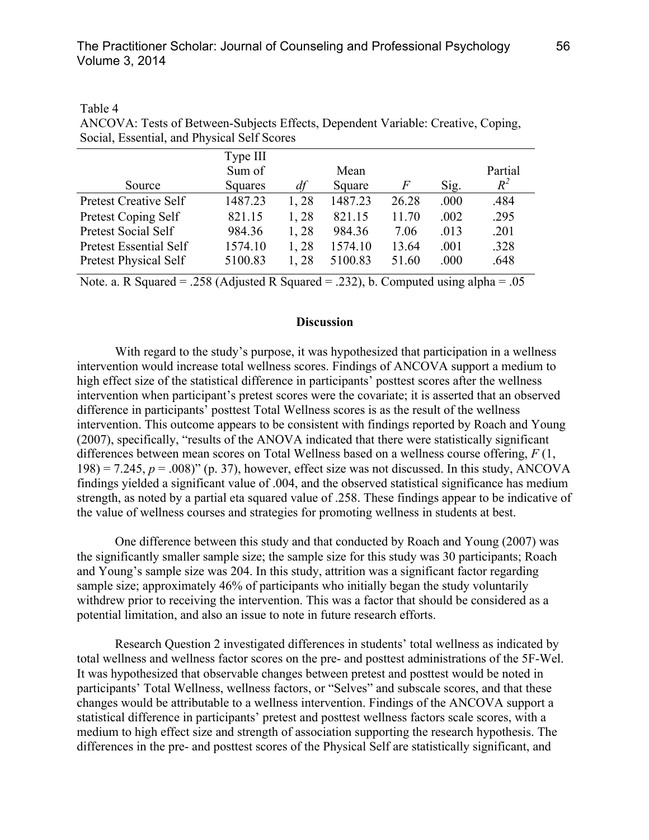| Social, Essential, and Physical Self Scores |          |      |         |       |      |         |  |
|---------------------------------------------|----------|------|---------|-------|------|---------|--|
|                                             | Type III |      |         |       |      |         |  |
|                                             | Sum of   |      | Mean    |       |      | Partial |  |
| Source                                      | Squares  | df   | Square  | F     | Sig. | $R^2$   |  |
| <b>Pretest Creative Self</b>                | 1487.23  | 1,28 | 1487.23 | 26.28 | .000 | .484    |  |
| Pretest Coping Self                         | 821.15   | 1,28 | 821.15  | 11.70 | .002 | .295    |  |
| Pretest Social Self                         | 984.36   | 1,28 | 984.36  | 7.06  | .013 | .201    |  |
| Pretest Essential Self                      | 1574.10  | 1,28 | 1574.10 | 13.64 | .001 | .328    |  |
| <b>Pretest Physical Self</b>                | 5100.83  | 1,28 | 5100.83 | 51.60 | .000 | .648    |  |
|                                             |          |      |         |       |      |         |  |

Table 4 ANCOVA: Tests of Between-Subjects Effects, Dependent Variable: Creative, Coping, Social, Essential, and Physical Self Scores

Note. a. R Squared = .258 (Adjusted R Squared = .232), b. Computed using alpha = .05

### **Discussion**

With regard to the study's purpose, it was hypothesized that participation in a wellness intervention would increase total wellness scores. Findings of ANCOVA support a medium to high effect size of the statistical difference in participants' posttest scores after the wellness intervention when participant's pretest scores were the covariate; it is asserted that an observed difference in participants' posttest Total Wellness scores is as the result of the wellness intervention. This outcome appears to be consistent with findings reported by Roach and Young (2007), specifically, "results of the ANOVA indicated that there were statistically significant differences between mean scores on Total Wellness based on a wellness course offering, *F* (1,  $198$ ) = 7.245,  $p = .008$ )" (p. 37), however, effect size was not discussed. In this study, ANCOVA findings yielded a significant value of .004, and the observed statistical significance has medium strength, as noted by a partial eta squared value of .258. These findings appear to be indicative of the value of wellness courses and strategies for promoting wellness in students at best.

One difference between this study and that conducted by Roach and Young (2007) was the significantly smaller sample size; the sample size for this study was 30 participants; Roach and Young's sample size was 204. In this study, attrition was a significant factor regarding sample size; approximately 46% of participants who initially began the study voluntarily withdrew prior to receiving the intervention. This was a factor that should be considered as a potential limitation, and also an issue to note in future research efforts.

Research Question 2 investigated differences in students' total wellness as indicated by total wellness and wellness factor scores on the pre- and posttest administrations of the 5F-Wel. It was hypothesized that observable changes between pretest and posttest would be noted in participants' Total Wellness, wellness factors, or "Selves" and subscale scores, and that these changes would be attributable to a wellness intervention. Findings of the ANCOVA support a statistical difference in participants' pretest and posttest wellness factors scale scores, with a medium to high effect size and strength of association supporting the research hypothesis. The differences in the pre- and posttest scores of the Physical Self are statistically significant, and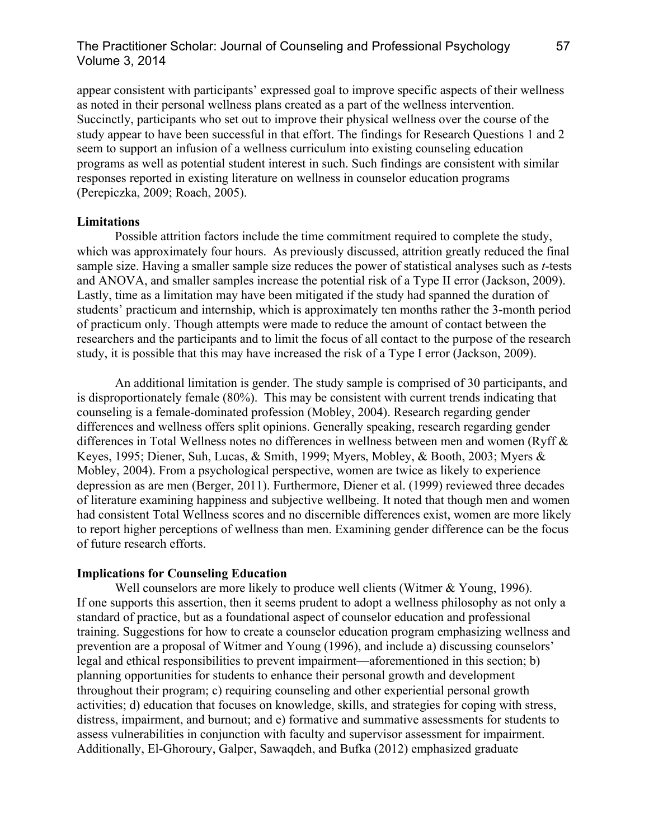# The Practitioner Scholar: Journal of Counseling and Professional Psychology 57 Volume 3, 2014

appear consistent with participants' expressed goal to improve specific aspects of their wellness as noted in their personal wellness plans created as a part of the wellness intervention. Succinctly, participants who set out to improve their physical wellness over the course of the study appear to have been successful in that effort. The findings for Research Questions 1 and 2 seem to support an infusion of a wellness curriculum into existing counseling education programs as well as potential student interest in such. Such findings are consistent with similar responses reported in existing literature on wellness in counselor education programs (Perepiczka, 2009; Roach, 2005).

## **Limitations**

Possible attrition factors include the time commitment required to complete the study, which was approximately four hours. As previously discussed, attrition greatly reduced the final sample size. Having a smaller sample size reduces the power of statistical analyses such as *t*-tests and ANOVA, and smaller samples increase the potential risk of a Type II error (Jackson, 2009). Lastly, time as a limitation may have been mitigated if the study had spanned the duration of students' practicum and internship, which is approximately ten months rather the 3-month period of practicum only. Though attempts were made to reduce the amount of contact between the researchers and the participants and to limit the focus of all contact to the purpose of the research study, it is possible that this may have increased the risk of a Type I error (Jackson, 2009).

An additional limitation is gender. The study sample is comprised of 30 participants, and is disproportionately female (80%). This may be consistent with current trends indicating that counseling is a female-dominated profession (Mobley, 2004). Research regarding gender differences and wellness offers split opinions. Generally speaking, research regarding gender differences in Total Wellness notes no differences in wellness between men and women (Ryff & Keyes, 1995; Diener, Suh, Lucas, & Smith, 1999; Myers, Mobley, & Booth, 2003; Myers & Mobley, 2004). From a psychological perspective, women are twice as likely to experience depression as are men (Berger, 2011). Furthermore, Diener et al. (1999) reviewed three decades of literature examining happiness and subjective wellbeing. It noted that though men and women had consistent Total Wellness scores and no discernible differences exist, women are more likely to report higher perceptions of wellness than men. Examining gender difference can be the focus of future research efforts.

### **Implications for Counseling Education**

Well counselors are more likely to produce well clients (Witmer & Young, 1996). If one supports this assertion, then it seems prudent to adopt a wellness philosophy as not only a standard of practice, but as a foundational aspect of counselor education and professional training. Suggestions for how to create a counselor education program emphasizing wellness and prevention are a proposal of Witmer and Young (1996), and include a) discussing counselors' legal and ethical responsibilities to prevent impairment—aforementioned in this section; b) planning opportunities for students to enhance their personal growth and development throughout their program; c) requiring counseling and other experiential personal growth activities; d) education that focuses on knowledge, skills, and strategies for coping with stress, distress, impairment, and burnout; and e) formative and summative assessments for students to assess vulnerabilities in conjunction with faculty and supervisor assessment for impairment. Additionally, El-Ghoroury, Galper, Sawaqdeh, and Bufka (2012) emphasized graduate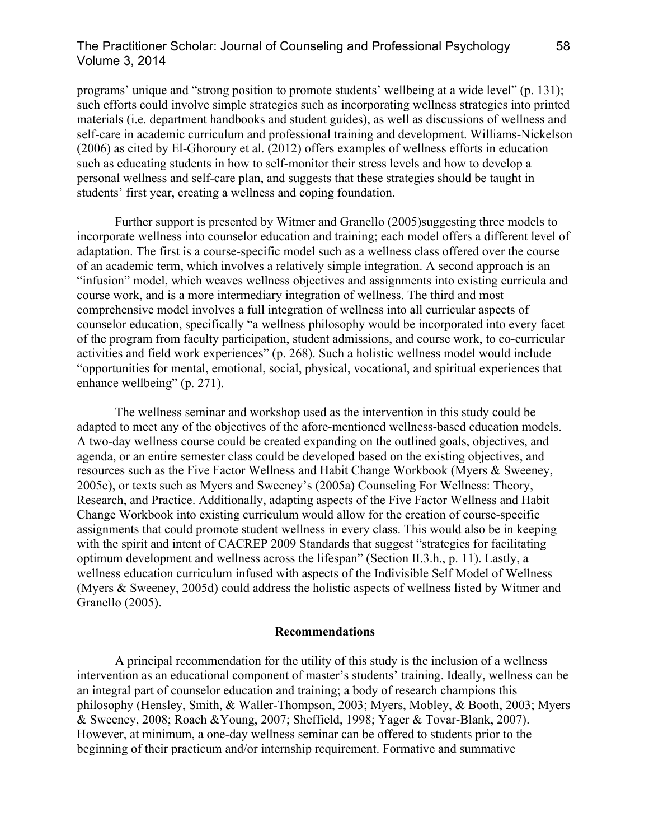## The Practitioner Scholar: Journal of Counseling and Professional Psychology 58 Volume 3, 2014

programs' unique and "strong position to promote students' wellbeing at a wide level" (p. 131); such efforts could involve simple strategies such as incorporating wellness strategies into printed materials (i.e. department handbooks and student guides), as well as discussions of wellness and self-care in academic curriculum and professional training and development. Williams-Nickelson (2006) as cited by El-Ghoroury et al. (2012) offers examples of wellness efforts in education such as educating students in how to self-monitor their stress levels and how to develop a personal wellness and self-care plan, and suggests that these strategies should be taught in students' first year, creating a wellness and coping foundation.

Further support is presented by Witmer and Granello (2005)suggesting three models to incorporate wellness into counselor education and training; each model offers a different level of adaptation. The first is a course-specific model such as a wellness class offered over the course of an academic term, which involves a relatively simple integration. A second approach is an "infusion" model, which weaves wellness objectives and assignments into existing curricula and course work, and is a more intermediary integration of wellness. The third and most comprehensive model involves a full integration of wellness into all curricular aspects of counselor education, specifically "a wellness philosophy would be incorporated into every facet of the program from faculty participation, student admissions, and course work, to co-curricular activities and field work experiences" (p. 268). Such a holistic wellness model would include "opportunities for mental, emotional, social, physical, vocational, and spiritual experiences that enhance wellbeing" (p. 271).

The wellness seminar and workshop used as the intervention in this study could be adapted to meet any of the objectives of the afore-mentioned wellness-based education models. A two-day wellness course could be created expanding on the outlined goals, objectives, and agenda, or an entire semester class could be developed based on the existing objectives, and resources such as the Five Factor Wellness and Habit Change Workbook (Myers & Sweeney, 2005c), or texts such as Myers and Sweeney's (2005a) Counseling For Wellness: Theory, Research, and Practice. Additionally, adapting aspects of the Five Factor Wellness and Habit Change Workbook into existing curriculum would allow for the creation of course-specific assignments that could promote student wellness in every class. This would also be in keeping with the spirit and intent of CACREP 2009 Standards that suggest "strategies for facilitating optimum development and wellness across the lifespan" (Section II.3.h., p. 11). Lastly, a wellness education curriculum infused with aspects of the Indivisible Self Model of Wellness (Myers & Sweeney, 2005d) could address the holistic aspects of wellness listed by Witmer and Granello (2005).

### **Recommendations**

A principal recommendation for the utility of this study is the inclusion of a wellness intervention as an educational component of master's students' training. Ideally, wellness can be an integral part of counselor education and training; a body of research champions this philosophy (Hensley, Smith, & Waller-Thompson, 2003; Myers, Mobley, & Booth, 2003; Myers & Sweeney, 2008; Roach &Young, 2007; Sheffield, 1998; Yager & Tovar-Blank, 2007). However, at minimum, a one-day wellness seminar can be offered to students prior to the beginning of their practicum and/or internship requirement. Formative and summative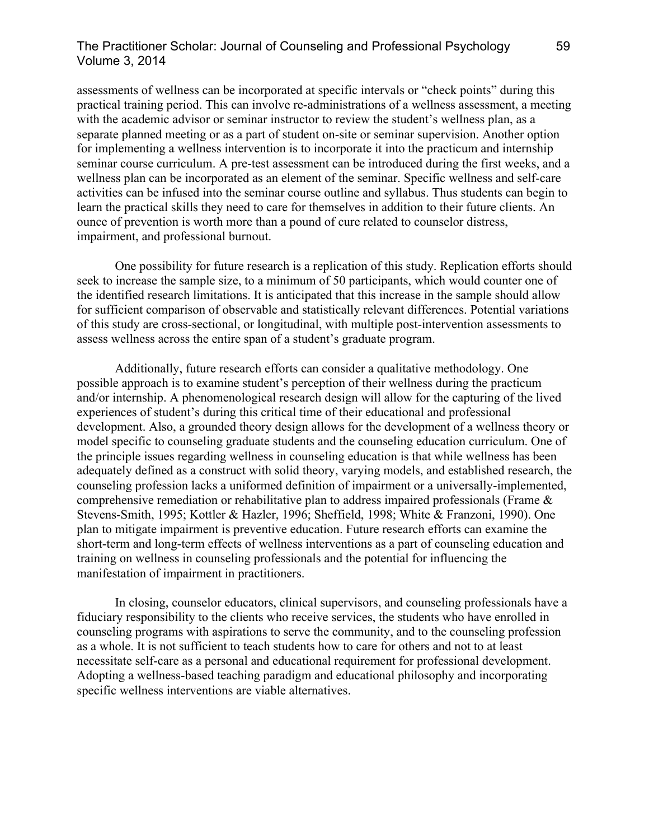# The Practitioner Scholar: Journal of Counseling and Professional Psychology 59 Volume 3, 2014

assessments of wellness can be incorporated at specific intervals or "check points" during this practical training period. This can involve re-administrations of a wellness assessment, a meeting with the academic advisor or seminar instructor to review the student's wellness plan, as a separate planned meeting or as a part of student on-site or seminar supervision. Another option for implementing a wellness intervention is to incorporate it into the practicum and internship seminar course curriculum. A pre-test assessment can be introduced during the first weeks, and a wellness plan can be incorporated as an element of the seminar. Specific wellness and self-care activities can be infused into the seminar course outline and syllabus. Thus students can begin to learn the practical skills they need to care for themselves in addition to their future clients. An ounce of prevention is worth more than a pound of cure related to counselor distress, impairment, and professional burnout.

One possibility for future research is a replication of this study. Replication efforts should seek to increase the sample size, to a minimum of 50 participants, which would counter one of the identified research limitations. It is anticipated that this increase in the sample should allow for sufficient comparison of observable and statistically relevant differences. Potential variations of this study are cross-sectional, or longitudinal, with multiple post-intervention assessments to assess wellness across the entire span of a student's graduate program.

Additionally, future research efforts can consider a qualitative methodology. One possible approach is to examine student's perception of their wellness during the practicum and/or internship. A phenomenological research design will allow for the capturing of the lived experiences of student's during this critical time of their educational and professional development. Also, a grounded theory design allows for the development of a wellness theory or model specific to counseling graduate students and the counseling education curriculum. One of the principle issues regarding wellness in counseling education is that while wellness has been adequately defined as a construct with solid theory, varying models, and established research, the counseling profession lacks a uniformed definition of impairment or a universally-implemented, comprehensive remediation or rehabilitative plan to address impaired professionals (Frame & Stevens-Smith, 1995; Kottler & Hazler, 1996; Sheffield, 1998; White & Franzoni, 1990). One plan to mitigate impairment is preventive education. Future research efforts can examine the short-term and long-term effects of wellness interventions as a part of counseling education and training on wellness in counseling professionals and the potential for influencing the manifestation of impairment in practitioners.

In closing, counselor educators, clinical supervisors, and counseling professionals have a fiduciary responsibility to the clients who receive services, the students who have enrolled in counseling programs with aspirations to serve the community, and to the counseling profession as a whole. It is not sufficient to teach students how to care for others and not to at least necessitate self-care as a personal and educational requirement for professional development. Adopting a wellness-based teaching paradigm and educational philosophy and incorporating specific wellness interventions are viable alternatives.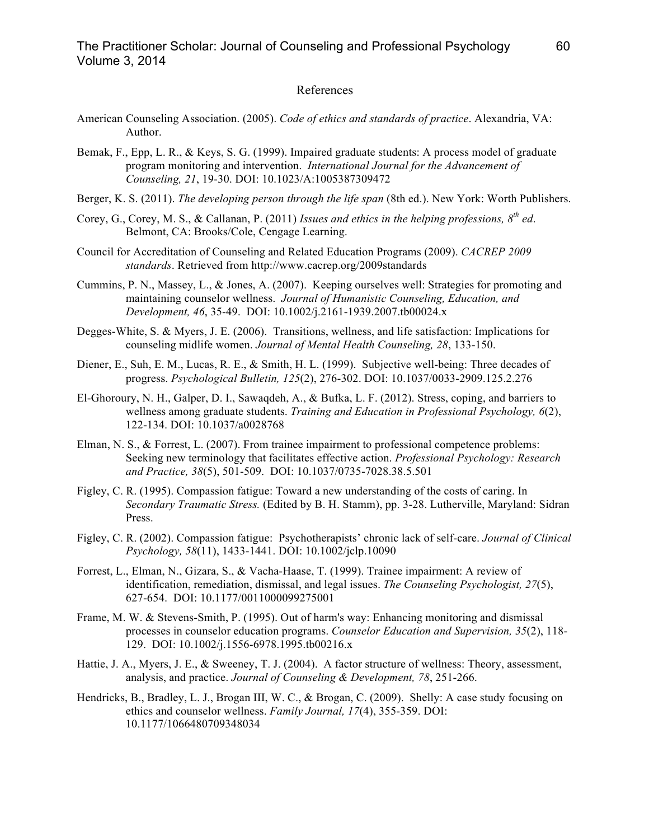#### References

- American Counseling Association. (2005). *Code of ethics and standards of practice*. Alexandria, VA: Author.
- Bemak, F., Epp, L. R., & Keys, S. G. (1999). Impaired graduate students: A process model of graduate program monitoring and intervention. *International Journal for the Advancement of Counseling, 21*, 19-30. DOI: 10.1023/A:1005387309472
- Berger, K. S. (2011). *The developing person through the life span* (8th ed.). New York: Worth Publishers.
- Corey, G., Corey, M. S., & Callanan, P. (2011) *Issues and ethics in the helping professions, 8th ed*. Belmont, CA: Brooks/Cole, Cengage Learning.
- Council for Accreditation of Counseling and Related Education Programs (2009). *CACREP 2009 standards*. Retrieved from http://www.cacrep.org/2009standards
- Cummins, P. N., Massey, L., & Jones, A. (2007). Keeping ourselves well: Strategies for promoting and maintaining counselor wellness. *Journal of Humanistic Counseling, Education, and Development, 46*, 35-49. DOI: 10.1002/j.2161-1939.2007.tb00024.x
- Degges-White, S. & Myers, J. E. (2006). Transitions, wellness, and life satisfaction: Implications for counseling midlife women. *Journal of Mental Health Counseling, 28*, 133-150.
- Diener, E., Suh, E. M., Lucas, R. E., & Smith, H. L. (1999). Subjective well-being: Three decades of progress. *Psychological Bulletin, 125*(2), 276-302. DOI: 10.1037/0033-2909.125.2.276
- El-Ghoroury, N. H., Galper, D. I., Sawaqdeh, A., & Bufka, L. F. (2012). Stress, coping, and barriers to wellness among graduate students. *Training and Education in Professional Psychology, 6*(2), 122-134. DOI: 10.1037/a0028768
- Elman, N. S., & Forrest, L. (2007). From trainee impairment to professional competence problems: Seeking new terminology that facilitates effective action. *Professional Psychology: Research and Practice, 38*(5), 501-509. DOI: 10.1037/0735-7028.38.5.501
- Figley, C. R. (1995). Compassion fatigue: Toward a new understanding of the costs of caring. In *Secondary Traumatic Stress.* (Edited by B. H. Stamm), pp. 3-28. Lutherville, Maryland: Sidran Press.
- Figley, C. R. (2002). Compassion fatigue: Psychotherapists' chronic lack of self-care. *Journal of Clinical Psychology, 58*(11), 1433-1441. DOI: 10.1002/jclp.10090
- Forrest, L., Elman, N., Gizara, S., & Vacha-Haase, T. (1999). Trainee impairment: A review of identification, remediation, dismissal, and legal issues. *The Counseling Psychologist, 27*(5), 627-654. DOI: 10.1177/0011000099275001
- Frame, M. W. & Stevens-Smith, P. (1995). Out of harm's way: Enhancing monitoring and dismissal processes in counselor education programs. *Counselor Education and Supervision, 35*(2), 118- 129. DOI: 10.1002/j.1556-6978.1995.tb00216.x
- Hattie, J. A., Myers, J. E., & Sweeney, T. J. (2004). A factor structure of wellness: Theory, assessment, analysis, and practice. *Journal of Counseling & Development, 78*, 251-266.
- Hendricks, B., Bradley, L. J., Brogan III, W. C., & Brogan, C. (2009). Shelly: A case study focusing on ethics and counselor wellness. *Family Journal, 17*(4), 355-359. DOI: 10.1177/1066480709348034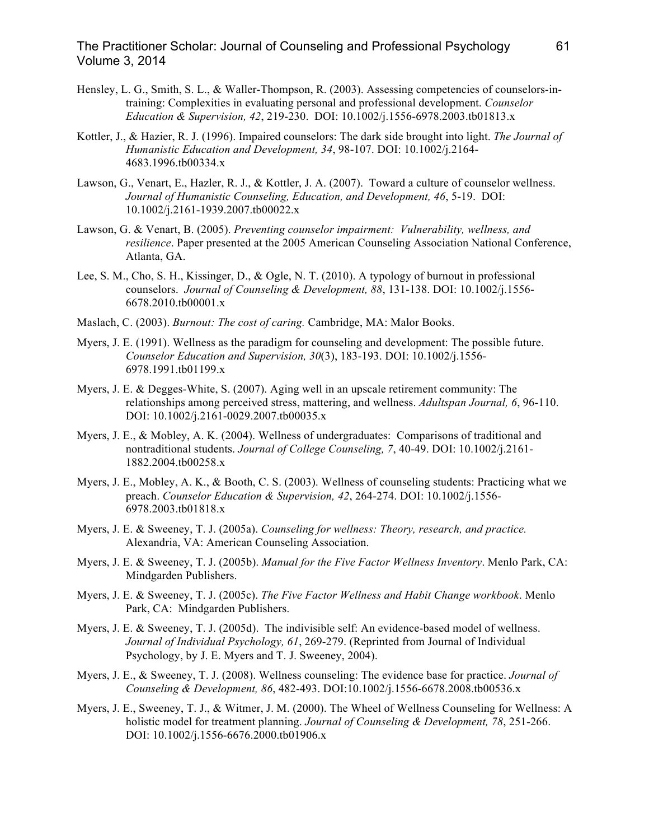## The Practitioner Scholar: Journal of Counseling and Professional Psychology 61 Volume 3, 2014

- Hensley, L. G., Smith, S. L., & Waller-Thompson, R. (2003). Assessing competencies of counselors-intraining: Complexities in evaluating personal and professional development. *Counselor Education & Supervision, 42*, 219-230. DOI: 10.1002/j.1556-6978.2003.tb01813.x
- Kottler, J., & Hazier, R. J. (1996). Impaired counselors: The dark side brought into light. *The Journal of Humanistic Education and Development, 34*, 98-107. DOI: 10.1002/j.2164- 4683.1996.tb00334.x
- Lawson, G., Venart, E., Hazler, R. J., & Kottler, J. A. (2007). Toward a culture of counselor wellness. *Journal of Humanistic Counseling, Education, and Development, 46*, 5-19. DOI: 10.1002/j.2161-1939.2007.tb00022.x
- Lawson, G. & Venart, B. (2005). *Preventing counselor impairment: Vulnerability, wellness, and resilience*. Paper presented at the 2005 American Counseling Association National Conference, Atlanta, GA.
- Lee, S. M., Cho, S. H., Kissinger, D., & Ogle, N. T. (2010). A typology of burnout in professional counselors. *Journal of Counseling & Development, 88*, 131-138. DOI: 10.1002/j.1556- 6678.2010.tb00001.x
- Maslach, C. (2003). *Burnout: The cost of caring.* Cambridge, MA: Malor Books.
- Myers, J. E. (1991). Wellness as the paradigm for counseling and development: The possible future. *Counselor Education and Supervision, 30*(3), 183-193. DOI: 10.1002/j.1556- 6978.1991.tb01199.x
- Myers, J. E. & Degges-White, S. (2007). Aging well in an upscale retirement community: The relationships among perceived stress, mattering, and wellness. *Adultspan Journal, 6*, 96-110. DOI: 10.1002/j.2161-0029.2007.tb00035.x
- Myers, J. E., & Mobley, A. K. (2004). Wellness of undergraduates: Comparisons of traditional and nontraditional students. *Journal of College Counseling, 7*, 40-49. DOI: 10.1002/j.2161- 1882.2004.tb00258.x
- Myers, J. E., Mobley, A. K., & Booth, C. S. (2003). Wellness of counseling students: Practicing what we preach. *Counselor Education & Supervision, 42*, 264-274. DOI: 10.1002/j.1556- 6978.2003.tb01818.x
- Myers, J. E. & Sweeney, T. J. (2005a). *Counseling for wellness: Theory, research, and practice.* Alexandria, VA: American Counseling Association.
- Myers, J. E. & Sweeney, T. J. (2005b). *Manual for the Five Factor Wellness Inventory*. Menlo Park, CA: Mindgarden Publishers.
- Myers, J. E. & Sweeney, T. J. (2005c). *The Five Factor Wellness and Habit Change workbook*. Menlo Park, CA: Mindgarden Publishers.
- Myers, J. E. & Sweeney, T. J. (2005d). The indivisible self: An evidence-based model of wellness. *Journal of Individual Psychology, 61*, 269-279. (Reprinted from Journal of Individual Psychology, by J. E. Myers and T. J. Sweeney, 2004).
- Myers, J. E., & Sweeney, T. J. (2008). Wellness counseling: The evidence base for practice. *Journal of Counseling & Development, 86*, 482-493. DOI:10.1002/j.1556-6678.2008.tb00536.x
- Myers, J. E., Sweeney, T. J., & Witmer, J. M. (2000). The Wheel of Wellness Counseling for Wellness: A holistic model for treatment planning. *Journal of Counseling & Development, 78*, 251-266. DOI: 10.1002/j.1556-6676.2000.tb01906.x